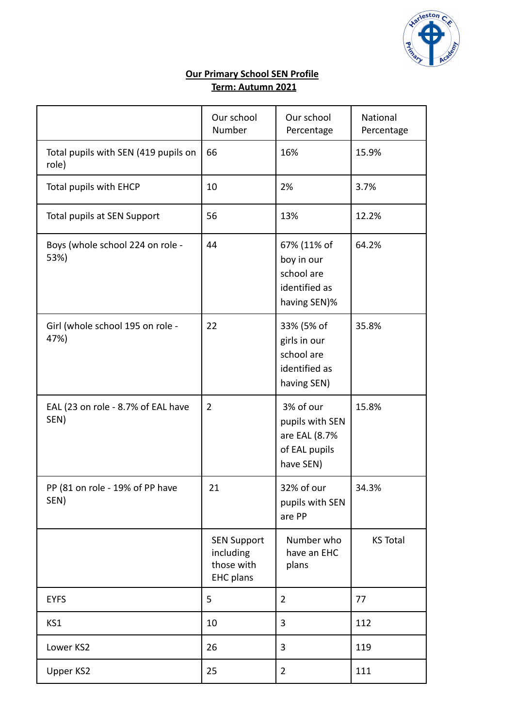

## **Our Primary School SEN Profile Term: Autumn 2021**

|                                               | Our school<br>Number                                              | Our school<br>Percentage                                                    | National<br>Percentage |
|-----------------------------------------------|-------------------------------------------------------------------|-----------------------------------------------------------------------------|------------------------|
| Total pupils with SEN (419 pupils on<br>role) | 66                                                                | 16%                                                                         | 15.9%                  |
| Total pupils with EHCP                        | 10                                                                | 2%                                                                          | 3.7%                   |
| Total pupils at SEN Support                   | 56                                                                | 13%                                                                         | 12.2%                  |
| Boys (whole school 224 on role -<br>53%)      | 44                                                                | 67% (11% of<br>boy in our<br>school are<br>identified as<br>having SEN)%    | 64.2%                  |
| Girl (whole school 195 on role -<br>47%)      | 22                                                                | 33% (5% of<br>girls in our<br>school are<br>identified as<br>having SEN)    | 35.8%                  |
| EAL (23 on role - 8.7% of EAL have<br>SEN)    | $\overline{2}$                                                    | 3% of our<br>pupils with SEN<br>are EAL (8.7%<br>of EAL pupils<br>have SEN) | 15.8%                  |
| PP (81 on role - 19% of PP have<br>SEN)       | 21                                                                | 32% of our<br>pupils with SEN<br>are PP                                     | 34.3%                  |
|                                               | <b>SEN Support</b><br>including<br>those with<br><b>EHC</b> plans | Number who<br>have an EHC<br>plans                                          | <b>KS Total</b>        |
| <b>EYFS</b>                                   | 5                                                                 | 2                                                                           | 77                     |
| KS1                                           | 10                                                                | 3                                                                           | 112                    |
| Lower KS2                                     | 26                                                                | 3                                                                           | 119                    |
| Upper KS2                                     | 25                                                                | $\overline{2}$                                                              | 111                    |